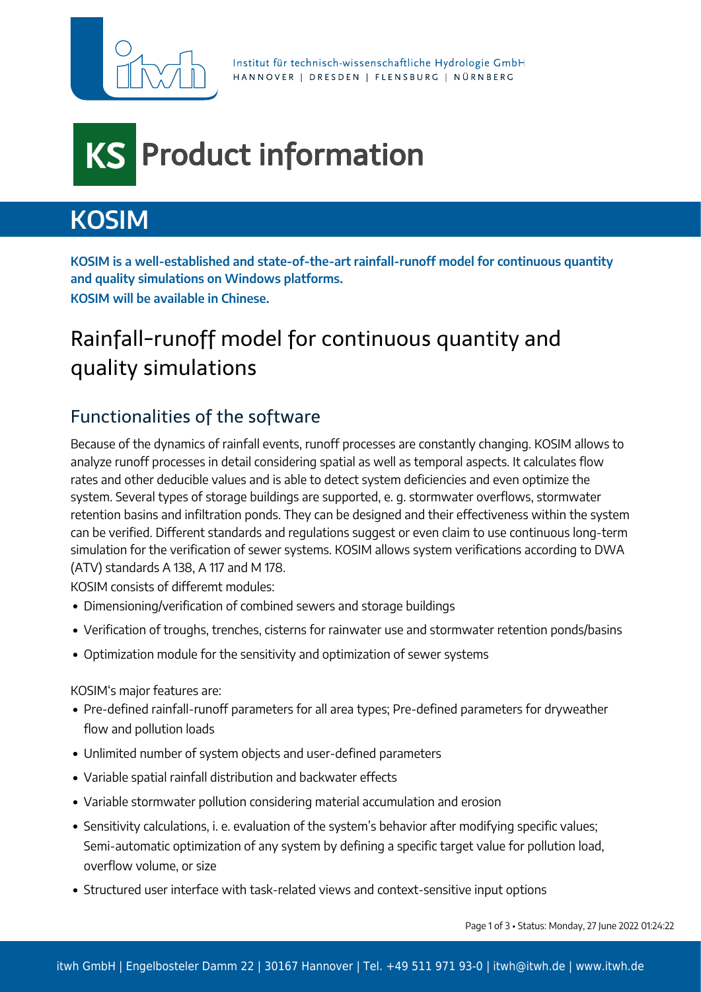

Institut für technisch-wissenschaftliche Hydrologie GmbH HANNOVER | DRESDEN | FLENSBURG | NÜRNBERG

## Product information **KS**

# **KOSIM**

**KOSIM is a well-established and state-of-the-art rainfall-runoff model for continuous quantity and quality simulations on Windows platforms. KOSIM will be available in Chinese.**

## Rainfall-runoff model for continuous quantity and quality simulations

### Functionalities of the software

Because of the dynamics of rainfall events, runoff processes are constantly changing. KOSIM allows to analyze runoff processes in detail considering spatial as well as temporal aspects. It calculates flow rates and other deducible values and is able to detect system deficiencies and even optimize the system. Several types of storage buildings are supported, e. g. stormwater overflows, stormwater retention basins and infiltration ponds. They can be designed and their effectiveness within the system can be verified. Different standards and regulations suggest or even claim to use continuous long-term simulation for the verification of sewer systems. KOSIM allows system verifications according to DWA (ATV) standards A 138, A 117 and M 178.

KOSIM consists of differemt modules:

- Dimensioning/verification of combined sewers and storage buildings
- Verification of troughs, trenches, cisterns for rainwater use and stormwater retention ponds/basins
- Optimization module for the sensitivity and optimization of sewer systems

KOSIM's major features are:

- Pre-defined rainfall-runoff parameters for all area types; Pre-defined parameters for dryweather flow and pollution loads
- Unlimited number of system objects and user-defined parameters
- Variable spatial rainfall distribution and backwater effects
- Variable stormwater pollution considering material accumulation and erosion
- Sensitivity calculations, i. e. evaluation of the system's behavior after modifying specific values; Semi-automatic optimization of any system by defining a specific target value for pollution load, overflow volume, or size
- Structured user interface with task-related views and context-sensitive input options

Page 1 of 3 • Status: Monday, 27 June 2022 01:24:22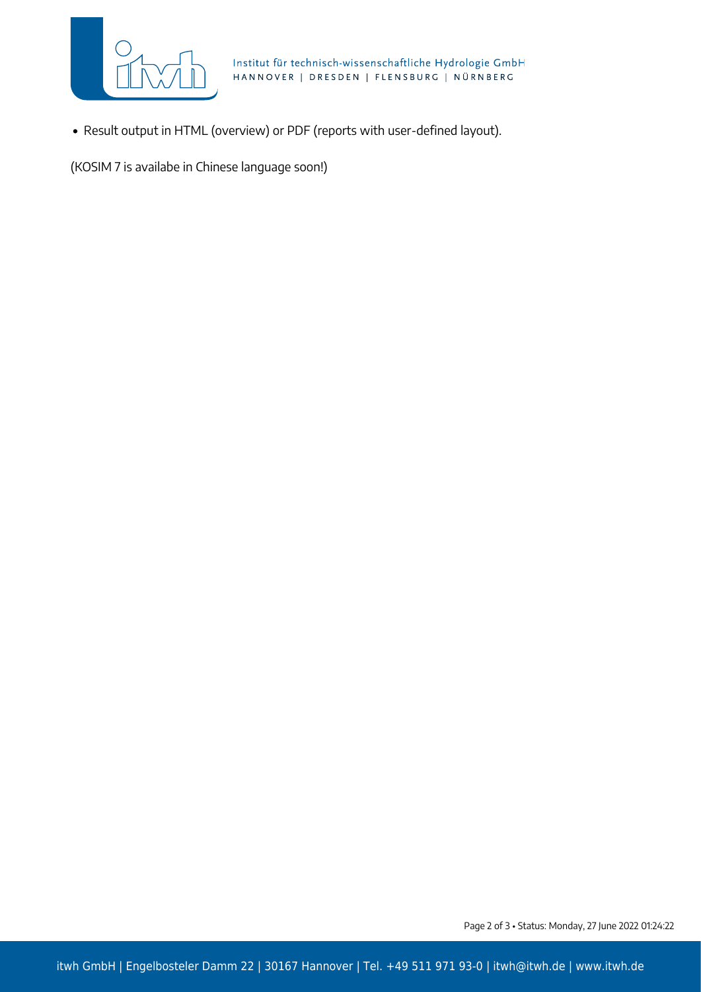

Institut für technisch-wissenschaftliche Hydrologie GmbH HANNOVER | DRESDEN | FLENSBURG | NÜRNBERG

Result output in HTML (overview) or PDF (reports with user-defined layout).

(KOSIM 7 is availabe in Chinese language soon!)